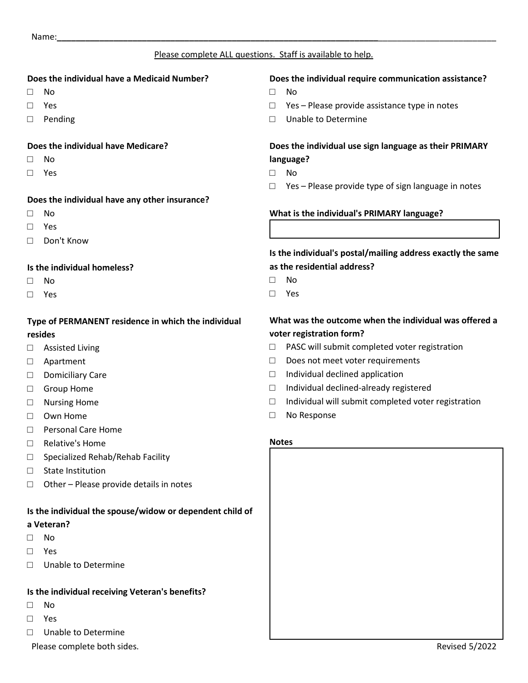### Please complete ALL questions. Staff is available to help.

#### **Does the individual have a Medicaid Number?**

- □ No
- □ Yes
- □ Pending

#### **Does the individual have Medicare?**

- □ No
- □ Yes

#### **Does the individual have any other insurance?**

- □ No
- □ Yes
- □ Don't Know

#### **Is the individual homeless?**

- □ No
- □ Yes

## **Type of PERMANENT residence in which the individual resides**

- □ Assisted Living
- □ Apartment
- □ Domiciliary Care
- □ Group Home
- □ Nursing Home
- □ Own Home
- □ Personal Care Home
- □ Relative's Home
- □ Specialized Rehab/Rehab Facility
- □ State Institution
- $\Box$  Other Please provide details in notes

#### **Is the individual the spouse/widow or dependent child of**

#### **a Veteran?**

- □ No
- □ Yes
- □ Unable to Determine

## **Is the individual receiving Veteran's benefits?**

- □ No
- □ Yes
- □ Unable to Determine

Please complete both sides. The state of the state of the state of the Revised 5/2022

## **Does the individual require communication assistance?**

- □ No
- □ Yes Please provide assistance type in notes
- □ Unable to Determine

## **Does the individual use sign language as their PRIMARY language?**

- □ No
- □ Yes Please provide type of sign language in notes

#### **What is the individual's PRIMARY language?**

## **Is the individual's postal/mailing address exactly the same as the residential address?**

- □ No
- □ Yes

# **What was the outcome when the individual was offered a voter registration form?**

- □ PASC will submit completed voter registration
- □ Does not meet voter requirements
- □ Individual declined application
- □ Individual declined-already registered
- $\Box$  Individual will submit completed voter registration
- □ No Response

#### **Notes**